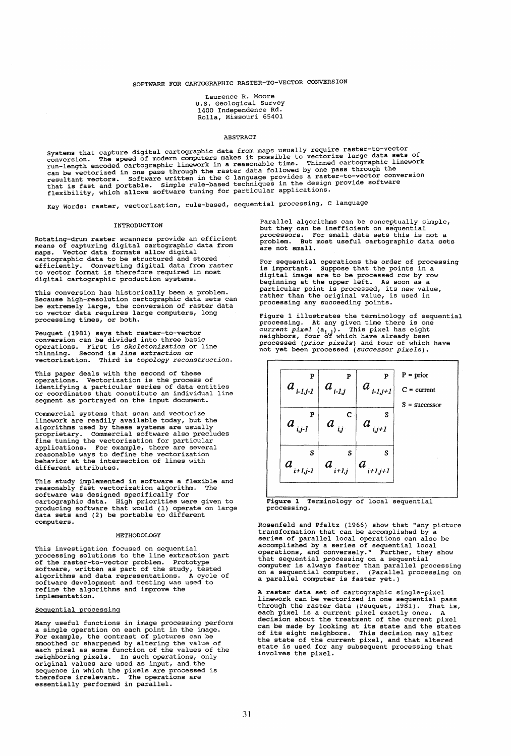# SOFTWARE FOR CARTOGRAPHIC RASTER-TO-VECTOR CONVERSION

Laurence R. Moore U.S. Geological Survey 1400 Independence Rd. Rolla, Missouri 65401

### ABSTRACT

Systems that capture digital cartographic data from maps usually require raster-to-vector<br>conversion. The speed of modern computers makes it possible to vectorize large data sets of<br>run-length encoded cartographic linework

Key Words: raster, vectorization, rule-based, sequential processing, C language

#### **INTRODUCTION**

Rotating-drum raster scanners provide an efficient means of capturing digital cartographic data from maps. Vector data formats allow digital cartographic data to be structured and stored efficiently. Converting digital data from raster to vector format is therefore required in most digital cartographic production systems.

This conversion has historically been a problem. Because high-resolution cartographic data sets can be extremely large, the conversion of raster data to vector data requires large computers, long processing times, or both.

Peuquet (1981) says that raster-to-vector conversion can be divided into three basic operations. First is *skeletonization* or line thinning. Second is *line extraction* or vectorization. Third is *topology reconstruction.* 

This paper deals with the second of these operations. Vectorization is the process of identifying a particular series of data entities or coordinates that constitute an individual line segment as portrayed on the input document.

Commercial systems that scan and vectorize linework are readily available today, but the algorithms used by these systems are usually proprietary. Commercial software also precludes fine tuning the vectorization for particular applications. For example, there are several reasonable ways to define the vectorization behavior at the intersection of lines with different attributes.

This study implemented in software a flexible and reasonably fast vectorization algorithm. The software was designed specifically for cartographic data. High priorities were given to producing software that would (1) operate on large data sets and (2) be portable to different computers.

#### METHODOLOGY

This investigation focused on sequential incomparation is to the line extraction part<br>of the raster-to-vector problem. Prototype<br>software, written as part of the study, tested<br>algorithms and data representations. A cycle of<br>software development and testing was us implementation.

### Sequential processing

Many useful functions in image processing perform<br>a single operation on each point in the image.<br>For example, the contrast of pictures can be<br>smoothed or sharpened by altering the value of<br>each pixel as some function of th essentially performed in parallel.

Parallel algorithms can be conceptually simple,<br>but they can be inefficient on sequential<br>processors. For small data sets this is not a<br>problem. But most useful cartographic data sets<br>are not small.

For sequential operations the order of processing<br>is important. Suppose that the points in a<br>digital image are to be processed row by row beginning at the upper left. As soon as a particular point is processed, its new value, rather than the original value, is used in processing any succeeding points.

Figure 1 illustrates the terminology of sequential<br>processing. At any given time there is one<br>*current pixel* ( $a_{i,j}$ ). This pixel has eight<br>neighbors, four of which have already been<br>processed (*prior pixels*) and four



Figure 1 Terminology of local sequential processing.

Rosenfeld and Pfaltz (1966) show that "any picture<br>transformation that can be accomplished by a series of parallel local operations can also be accomplished by a series of sequential local<br>operations, and conversely." Further, they show<br>that sequential processing on a sequential computer is always faster than parallel processing on a sequential computer. (Parallel processing on a parallel computer is faster yet.)

A raster data set of cartographic single-pixel<br>linework can be vectorized in one sequential pass through the raster data (Peuquet,  $1981$ ). That is, each pixel is a current pixel exactly once. A<br>decision about the treatment of the current pixel can be made by looking at its state and the states<br>of its eight neighbors. This decision may alter<br>the state of the current pi involves the pixel.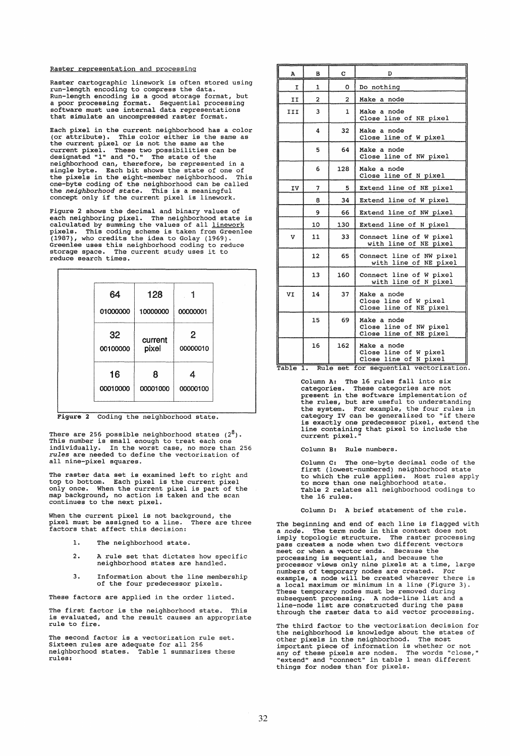Raster representation and processing

Raster cartographic linework is often stored using run-length encoding to compress the data. Run-length encoding is a good storage format, but a poor processing format. Sequential processing software must use internal data representations that simulate an uncompressed raster format.

Each pixel in the current neighborhood has a color<br>(or attribute). This color either is the same as<br>the current pixel or is not the same as the<br>current pixel. These two possibilities can be<br>designated "1" and "0." The stat one-byte coding of the neighborhood can be called the *neighborhood state.* This is a meaningful concept only if the current pixel is linework.

Figure 2 shows the decimal and binary values of right a book one continue and a boundary viewed and high<br>boring pixel. The neighborhood state is<br>calculated by summing the values of all <u>linework</u><br>pixels. This coding scheme is taken from Greenlee<br>Greenlee uses this neigh storage space. The<br>reduce search times.

| 64             | 128              |                            |
|----------------|------------------|----------------------------|
| 01000000       | 10000000         | 00000001                   |
| 32<br>00100000 | current<br>pixel | $\overline{2}$<br>00000010 |
| 16<br>00010000 | 8<br>00001000    | 00000100                   |

Figure 2 Coding the neighborhood state.

There are 256 possible neighborhood states (2<sup>8</sup>).<br>This number is small enough to treat each one<br>individually. In the worst case, no more than 256 *rules* are needed to define the vectorization of all nine-pixel squares.

The raster data set is examined left to right and<br>top to bottom. Each pixel is the current pixel<br>only once. When the current pixel is part of the<br>map background, no action is taken and the scan<br>continues to the next pixel.

When the current pixel is not background, the pixel must be assigned to a line. There are three factors that affect this decision:

- 1. The neighborhood state.
- 2. A rule set that dictates how specific neighborhood states are handled.
- 3. Information about the line membership of the four predecessor pixels.

These factors are applied in the order listed.

The first factor is the neighborhood state. This is evaluated, and the result causes an appropriate rule to fire.

The second factor is a vectorization rule set. Sixteen rules are adequate for all 256 neighborhood states. Table 1 summarizes these rules:

| A              | в                                  | c              | D                                                                                                                 |
|----------------|------------------------------------|----------------|-------------------------------------------------------------------------------------------------------------------|
| I              | 1                                  | 0              | Do nothing                                                                                                        |
| II             | $\overline{a}$                     | $\overline{2}$ | Make a node                                                                                                       |
| III            | 3                                  | 1              | Make a node<br>Close line of NE pixel                                                                             |
|                | 4                                  | 32             | Make a node<br>Close line of W pixel                                                                              |
|                | 5                                  | 64             | Make a node<br>Close line of NW pixel                                                                             |
|                | 6                                  | 128            | Make a node<br>Close line of N pixel                                                                              |
| ΙV             | 7                                  | 5.             | Extend line of NE pixel                                                                                           |
|                | 8                                  | 34             | Extend line of W pixel                                                                                            |
|                | 9                                  | 66             | Extend line of NW pixel                                                                                           |
|                | 10                                 | 130            | Extend line of N pixel                                                                                            |
| v              | 11                                 | 33             | Connect line of W pixel<br>with line of NE pixel                                                                  |
|                | 12                                 | 65             | Connect line of NW pixel<br>with line of NE pixel                                                                 |
|                | 13                                 | 160            | Connect line of W pixel<br>with line of N pixel                                                                   |
| <b>VT</b>      | 14                                 | 37             | Make a node<br>Close line of W pixel<br>Close line of NE pixel                                                    |
|                | 15                                 | 69             | Make a node<br>Close line of NW pixel<br>Close line of NE pixel                                                   |
| $\overline{m}$ | 16<br>$P_{11}$ $\bar{1}$ $\bar{0}$ | 162            | Make a node<br>Close line of W pixel<br>Close line of N pixel<br>Somontial, workonist.<br>$\overline{z_{\alpha}}$ |

Table 1. Rule set for sequential vectorization.

Column A: The 16 rules fall into six<br>categories. These categories are not<br>present in the software implementation of<br>the rules, but are useful to understanding<br>the system. For example, the four rules in<br>category IV can be g

Column B: Rule numbers.

Column C: The one-byte decimal code of the first (lowest-numbered) neighborhood state to which the rule applies. Most rules apply to more than one neighborhood state. Table 2 relates all neighborhood codings to the 16 rules.

## Column D: A brief statement of the rule.

The beginning and end of each line is flagged with <sup>a</sup>*node.* The term node in this context does not imply topologic structure. The raster processing pass creates a node when two different vectors meet or when a vector ends. Because the meet of when a vector chast conducted because the<br>processing is sequential, and because the<br>processor views only nine pixels at a time, large<br>numbers of temporary nodes are created. For<br>a local maximum or minimum in a line subsequent processing. A node-line list and a line-node list are constructed during the pass through the raster data to aid vector processing.

The third factor to the vectorization decision for the neighborhood is knowledge about the states of other pixels in the neighborhood. The most<br>important piece of information is whether or not<br>any of these pixels are nodes. The words "close,"<br>"extend" and "connect" in table 1 mean different<br>things for nodes than for pixel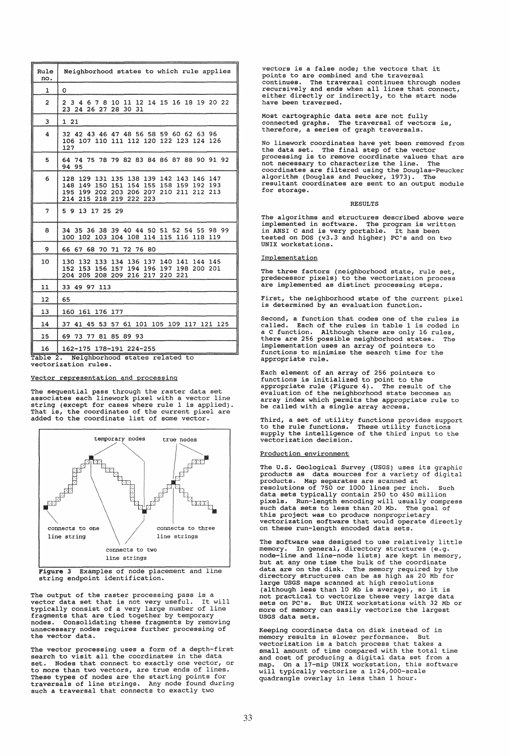| Rule<br>no.    | Neighborhood states to which rule applies                                                                                                                                  |
|----------------|----------------------------------------------------------------------------------------------------------------------------------------------------------------------------|
| $\mathbf{1}$   | o                                                                                                                                                                          |
| $\overline{a}$ | 3 4 6 7 8 10 11 12 14 15 16 18 19 20 22<br>2<br>23 24 26 27 28 30 31                                                                                                       |
| 3              | 1 21                                                                                                                                                                       |
| 4              | 32 42 43 46 47 48 56 58 59 60 62 63 96<br>106 107 110 111 112 120 122 123 124 126<br>127                                                                                   |
| 5              | 64 74 75 78 79 82 83 84 86 87 88 90 91 92<br>94<br>95                                                                                                                      |
| 6              | 128 129 131 135 138 139 142 143 146 147<br>148 149 150 151 154 155 158 159 192 193<br>195 199 202 203 206 207 210 211<br>212<br>213<br>214<br>215<br>218<br>219<br>222 223 |
| 7              | 5 9 13 17 25 29                                                                                                                                                            |
| 8              | 34 35 36 38 39 40 44 50 51 52 54 55 98 99<br>100 102 103 104 108 114 115 116 118 119                                                                                       |
| 9              | 66 67 68 70 71 72 76 80                                                                                                                                                    |
| 10             | 130 132 133 134 136 137 140 141 144 145<br>153 156 157 194 196 197 198 200 201<br>152<br>204 205 208 209 216 217 220 221                                                   |
| 11             | 33 49 97 113                                                                                                                                                               |
| 12             | 65                                                                                                                                                                         |
| 13             | 160 161 176 177                                                                                                                                                            |
| 14             | 41 45 53 57 61 101 105 109 117 121 125<br>37                                                                                                                               |
| 15             | 69 73 77 81 85 89 93                                                                                                                                                       |
| 16             | 162-175 178-191 224-255                                                                                                                                                    |
|                | Table 2. Neighborhood states related to                                                                                                                                    |

vectorization rules.

### Vector representation and processing

The sequential pass through the raster data set associates each linework pixel with a vector line string (except for cases where rule 1 is applied). That is, the coordinates of the current pixel are added to the coordinate list of some vector.



Figure 3 Examples of node placement and line string endpoint identification.

The output of the raster processing pass is a vector data set that is not very useful. It will typically consist of a very large number of line fragments that are tied together by temporary nodes. Consolidating these fragments by removing unnecessary nodes requires further processing of the vector data.

The vector processing uses a form of a depth-first<br>search to visit all the coordinates in the data<br>set. Nodes that connect to exactly one vector, or<br>to more than two vectors, are true ends of lines.<br>These types of nodes ar

vectors is a false node; the vectors that it points to are combined and the traversal continues. The traversal continues through nodes recursively and ends when all lines that connect, either directly or indirectly, to the start node erther driectry of 1

Most cartographic data sets are not fully connected graphs. The traversal of vectors is, therefore, a series of graph traversals.

No linework coordinates have yet been removed from<br>the data set. The final step of the vector<br>processing is to remove coordinate values that are<br>not necessary to characterize the line. The<br>coordinates are filtered using th for storage.

#### RESULTS

The algorithms and structures described above were implemented in software. The program is written in ANSI C and is very portable. It has been tested on DOS (v3.3 and higher) PC's and on two UNIX workstations.

### Implementation

The three factors (neighborhood state, rule set, predecessor pixels) to the vectorization process are implemented as distinct processing steps.

First, the neighborhood state of the current pixel is determined by an evaluation function.

Second, a function that codes one of the rules is called. Each of the rules in table 1 is coded in a C function. Although there are only 16 rules, there are 256 possible neighborhood states. The implementation uses an array of pointers to functions to minimize the search time for the appropriate rule.

Each element of an array of 256 pointers to functions is initialized to point to the appropriate rule (Figure 4). The result of the evaluation of the neighborhood state becomes an array index which permits the appropriate rule to be called with a single array access.

Third, a set of utility functions provides support to the rule functions. These utility functions supply the intelligence of the third input to the vectorization decision.

# Production environment

The U.S. Geological Survey (USGS) uses its graphic products as data sources for a variety of digital products. Map separates are scanned at<br>resolutions of 750 or 1000 lines per inch. Such<br>data sets typically contain 250 to 450 million<br>pixels. Run-length encoding will usually compress<br>such data sets to less than 20 Mb. The on these run-length encoded data sets.

The software was designed to use relatively little memory. In general, directory structures (e.g.<br>node-line and line-node lists) are kept in memory,<br>but at any one time the bulk of the coordinate<br>data are on the disk. The memory required by the<br>directory structures can be Iafough less han 10 Mb is average), so it is<br>
(although less than 10 Mb is average), so it is<br>
not practical to vectorize these very large data<br>
sets on PC's. But UNIX workstations with 32 Mb or<br>
more of memory can easily USGS data sets.

Keeping coordinate data on disk instead of in memory results in slower performance. But vectorization is a batch process that takes a small amount of time compared with the total time<br>and cost of producing a digital data set from a<br>map. On a 17-mip UNIX workstation, this software<br>will typically vectorize a 1:24,000-scale<br>quadrangle overlay in less than 1